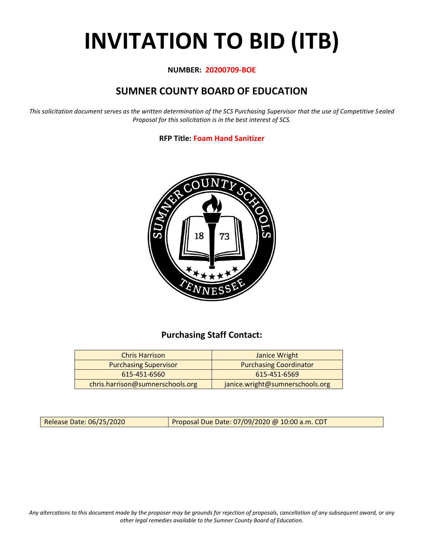# **INVITATION TO BID (ITB)**

#### **NUMBER: 20200709-BOE**

# **SUMNER COUNTY BOARD OF EDUCATION**

*This solicitation document serves as the written determination of the SCS Purchasing Supervisor that the use of Competitive Sealed Proposal for this solicitation is in the best interest of SCS.*

#### **RFP Title: Foam Hand Sanitizer**



## **Purchasing Staff Contact:**

| <b>Chris Harrison</b>            | Janice Wright                   |
|----------------------------------|---------------------------------|
| <b>Purchasing Supervisor</b>     | <b>Purchasing Coordinator</b>   |
| 615-451-6560                     | 615-451-6569                    |
| chris.harrison@sumnerschools.org | janice.wright@sumnerschools.org |

Release Date: 06/25/2020 **Proposal Due Date: 07/09/2020** @ 10:00 a.m. CDT

*Any altercations to this document made by the proposer may be grounds for rejection of proposals, cancellation of any subsequent award, or any other legal remedies available to the Sumner County Board of Education.*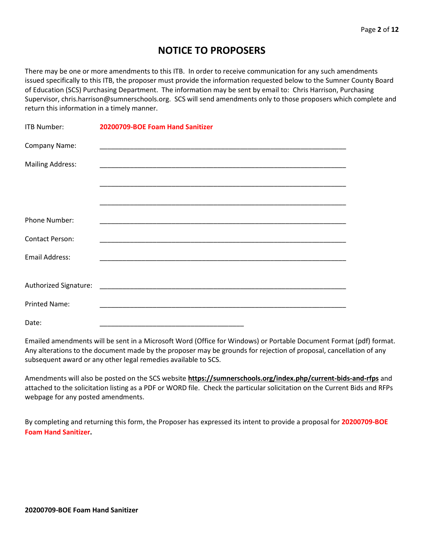## **NOTICE TO PROPOSERS**

There may be one or more amendments to this ITB. In order to receive communication for any such amendments issued specifically to this ITB, the proposer must provide the information requested below to the Sumner County Board of Education (SCS) Purchasing Department. The information may be sent by email to: Chris Harrison, Purchasing Supervisor, chris.harrison@sumnerschools.org. SCS will send amendments only to those proposers which complete and return this information in a timely manner.

| ITB Number:             | 20200709-BOE Foam Hand Sanitizer |
|-------------------------|----------------------------------|
| Company Name:           |                                  |
| <b>Mailing Address:</b> |                                  |
|                         |                                  |
|                         |                                  |
| Phone Number:           |                                  |
| <b>Contact Person:</b>  |                                  |
| <b>Email Address:</b>   |                                  |
|                         |                                  |
|                         |                                  |
| <b>Printed Name:</b>    |                                  |
| Date:                   |                                  |

Emailed amendments will be sent in a Microsoft Word (Office for Windows) or Portable Document Format (pdf) format. Any alterations to the document made by the proposer may be grounds for rejection of proposal, cancellation of any subsequent award or any other legal remedies available to SCS.

Amendments will also be posted on the SCS website **https://sumnerschools.org/index.php/current-bids-and-rfps** and attached to the solicitation listing as a PDF or WORD file. Check the particular solicitation on the Current Bids and RFPs webpage for any posted amendments.

By completing and returning this form, the Proposer has expressed its intent to provide a proposal for **20200709-BOE Foam Hand Sanitizer.**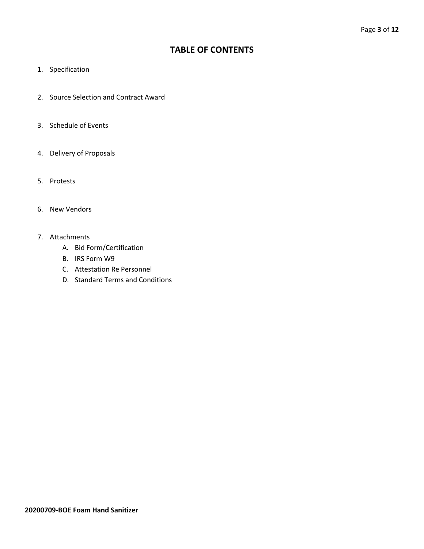### **TABLE OF CONTENTS**

- 1. Specification
- 2. Source Selection and Contract Award
- 3. Schedule of Events
- 4. Delivery of Proposals
- 5. Protests
- 6. New Vendors
- 7. Attachments
	- A. Bid Form/Certification
	- B. IRS Form W9
	- C. Attestation Re Personnel
	- D. Standard Terms and Conditions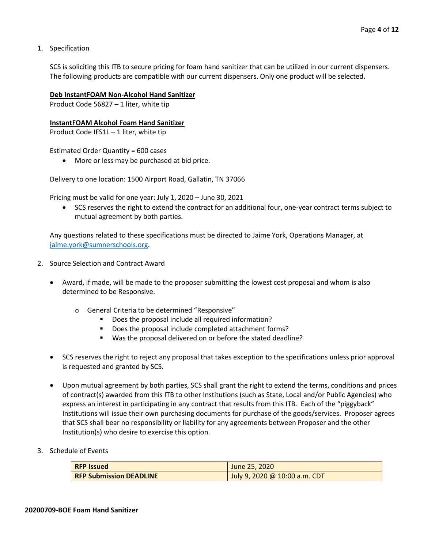1. Specification

SCS is soliciting this ITB to secure pricing for foam hand sanitizer that can be utilized in our current dispensers. The following products are compatible with our current dispensers. Only one product will be selected.

#### **Deb InstantFOAM Non-Alcohol Hand Sanitizer**

Product Code 56827 – 1 liter, white tip

#### **InstantFOAM Alcohol Foam Hand Sanitizer**

Product Code IFS1L – 1 liter, white tip

Estimated Order Quantity = 600 cases

• More or less may be purchased at bid price.

Delivery to one location: 1500 Airport Road, Gallatin, TN 37066

Pricing must be valid for one year: July 1, 2020 – June 30, 2021

• SCS reserves the right to extend the contract for an additional four, one-year contract terms subject to mutual agreement by both parties.

Any questions related to these specifications must be directed to Jaime York, Operations Manager, at [jaime.york@sumnerschools.org.](mailto:jaime.york@sumnerschools.org)

- 2. Source Selection and Contract Award
	- Award, if made, will be made to the proposer submitting the lowest cost proposal and whom is also determined to be Responsive.
		- o General Criteria to be determined "Responsive"
			- Does the proposal include all required information?
			- Does the proposal include completed attachment forms?
			- Was the proposal delivered on or before the stated deadline?
	- SCS reserves the right to reject any proposal that takes exception to the specifications unless prior approval is requested and granted by SCS.
	- Upon mutual agreement by both parties, SCS shall grant the right to extend the terms, conditions and prices of contract(s) awarded from this ITB to other Institutions (such as State, Local and/or Public Agencies) who express an interest in participating in any contract that results from this ITB. Each of the "piggyback" Institutions will issue their own purchasing documents for purchase of the goods/services. Proposer agrees that SCS shall bear no responsibility or liability for any agreements between Proposer and the other Institution(s) who desire to exercise this option.
- 3. Schedule of Events

| <b>RFP Issued</b>              | June 25, 2020                 |
|--------------------------------|-------------------------------|
| <b>RFP Submission DEADLINE</b> | July 9, 2020 @ 10:00 a.m. CDT |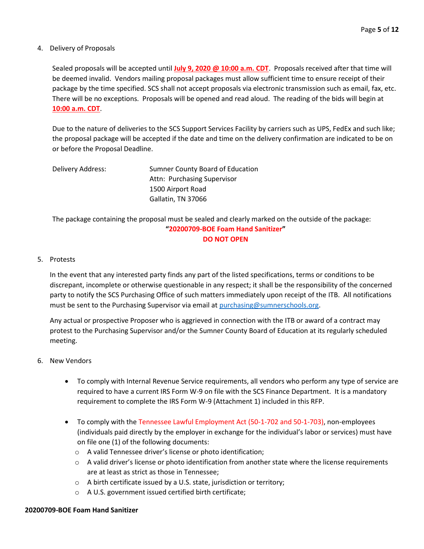#### 4. Delivery of Proposals

Sealed proposals will be accepted until **July 9, 2020 @ 10:00 a.m. CDT**. Proposals received after that time will be deemed invalid. Vendors mailing proposal packages must allow sufficient time to ensure receipt of their package by the time specified. SCS shall not accept proposals via electronic transmission such as email, fax, etc. There will be no exceptions. Proposals will be opened and read aloud. The reading of the bids will begin at **10:00 a.m. CDT**.

Due to the nature of deliveries to the SCS Support Services Facility by carriers such as UPS, FedEx and such like; the proposal package will be accepted if the date and time on the delivery confirmation are indicated to be on or before the Proposal Deadline.

| Delivery Address: | Sumner County Board of Education |
|-------------------|----------------------------------|
|                   | Attn: Purchasing Supervisor      |
|                   | 1500 Airport Road                |
|                   | Gallatin, TN 37066               |

The package containing the proposal must be sealed and clearly marked on the outside of the package: **"20200709-BOE Foam Hand Sanitizer" DO NOT OPEN**

#### 5. Protests

In the event that any interested party finds any part of the listed specifications, terms or conditions to be discrepant, incomplete or otherwise questionable in any respect; it shall be the responsibility of the concerned party to notify the SCS Purchasing Office of such matters immediately upon receipt of the ITB. All notifications must be sent to the Purchasing Supervisor via email at [purchasing@sumnerschools.org.](mailto:purchasing@sumnerschools.org)

Any actual or prospective Proposer who is aggrieved in connection with the ITB or award of a contract may protest to the Purchasing Supervisor and/or the Sumner County Board of Education at its regularly scheduled meeting.

#### 6. New Vendors

- To comply with Internal Revenue Service requirements, all vendors who perform any type of service are required to have a current IRS Form W-9 on file with the SCS Finance Department. It is a mandatory requirement to complete the IRS Form W-9 (Attachment 1) included in this RFP.
- To comply with the Tennessee Lawful Employment Act (50-1-702 and 50-1-703), non-employees (individuals paid directly by the employer in exchange for the individual's labor or services) must have on file one (1) of the following documents:
	- o A valid Tennessee driver's license or photo identification;
	- $\circ$  A valid driver's license or photo identification from another state where the license requirements are at least as strict as those in Tennessee;
	- o A birth certificate issued by a U.S. state, jurisdiction or territory;
	- o A U.S. government issued certified birth certificate;

#### **20200709-BOE Foam Hand Sanitizer**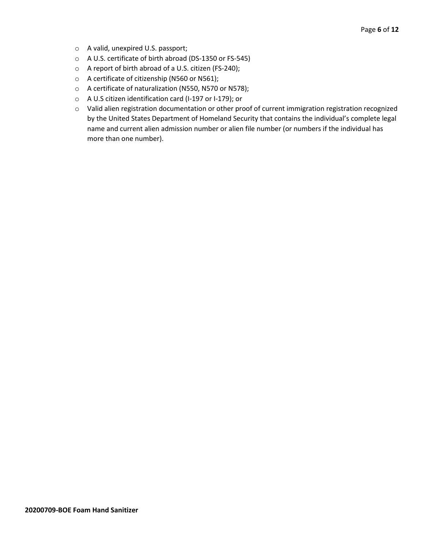- o A valid, unexpired U.S. passport;
- o A U.S. certificate of birth abroad (DS-1350 or FS-545)
- o A report of birth abroad of a U.S. citizen (FS-240);
- o A certificate of citizenship (N560 or N561);
- o A certificate of naturalization (N550, N570 or N578);
- o A U.S citizen identification card (I-197 or I-179); or
- o Valid alien registration documentation or other proof of current immigration registration recognized by the United States Department of Homeland Security that contains the individual's complete legal name and current alien admission number or alien file number (or numbers if the individual has more than one number).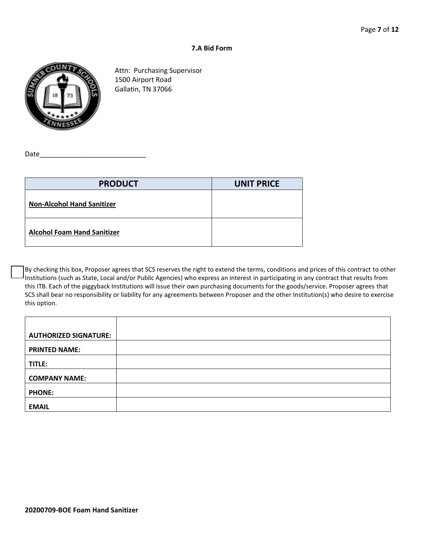#### **7.A Bid Form**



Attn: Purchasing Supervisor 1500 Airport Road Gallatin, TN 37066

Date

| <b>PRODUCT</b>                     | <b>UNIT PRICE</b> |
|------------------------------------|-------------------|
| <b>Non-Alcohol Hand Sanitizer</b>  |                   |
| <b>Alcohol Foam Hand Sanitizer</b> |                   |

By checking this box, Proposer agrees that SCS reserves the right to extend the terms, conditions and prices of this contract to other Institutions (such as State, Local and/or Public Agencies) who express an interest in participating in any contract that results from this ITB. Each of the piggyback Institutions will issue their own purchasing documents for the goods/service. Proposer agrees that SCS shall bear no responsibility or liability for any agreements between Proposer and the other Institution(s) who desire to exercise this option.

| <b>AUTHORIZED SIGNATURE:</b> |  |
|------------------------------|--|
| <b>PRINTED NAME:</b>         |  |
| TITLE:                       |  |
| <b>COMPANY NAME:</b>         |  |
| <b>PHONE:</b>                |  |
| <b>EMAIL</b>                 |  |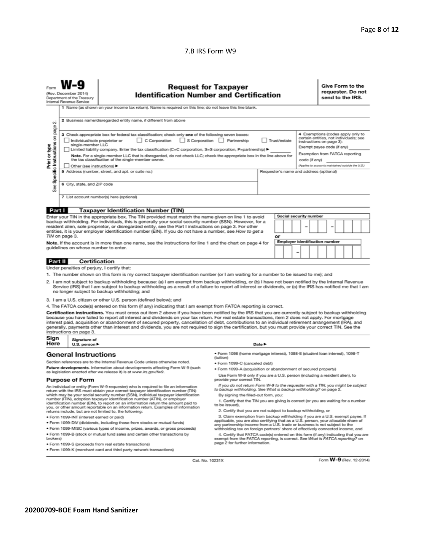#### 7.B IRS Form W9

|                                                                                                                                                                                                                                                                                                                                                                                                                                                                                                                                                                                                                                                                                                                                                                                                                                                                                                                                                                                                                                                                                                                     | <b>Request for Taxpayer</b><br>(Rev. December 2014)<br><b>Identification Number and Certification</b><br>Department of the Treasury<br>Internal Revenue Service<br>1 Name (as shown on your income tax return). Name is required on this line; do not leave this line blank. |                                                                                                                              |                                                                                                                                                                                                                                                                                                                                                                                                                                                                                                                                                                                                                                                                                                                                                                                                                                                                                                                                                      |  |  |  |  |  |  | Give Form to the<br>send to the IRS. |  | requester. Do not |
|---------------------------------------------------------------------------------------------------------------------------------------------------------------------------------------------------------------------------------------------------------------------------------------------------------------------------------------------------------------------------------------------------------------------------------------------------------------------------------------------------------------------------------------------------------------------------------------------------------------------------------------------------------------------------------------------------------------------------------------------------------------------------------------------------------------------------------------------------------------------------------------------------------------------------------------------------------------------------------------------------------------------------------------------------------------------------------------------------------------------|------------------------------------------------------------------------------------------------------------------------------------------------------------------------------------------------------------------------------------------------------------------------------|------------------------------------------------------------------------------------------------------------------------------|------------------------------------------------------------------------------------------------------------------------------------------------------------------------------------------------------------------------------------------------------------------------------------------------------------------------------------------------------------------------------------------------------------------------------------------------------------------------------------------------------------------------------------------------------------------------------------------------------------------------------------------------------------------------------------------------------------------------------------------------------------------------------------------------------------------------------------------------------------------------------------------------------------------------------------------------------|--|--|--|--|--|--|--------------------------------------|--|-------------------|
| 2 Business name/disregarded entity name, if different from above<br>οû<br>page<br>4 Exemptions (codes apply only to<br>3 Check appropriate box for federal tax classification; check only one of the following seven boxes:<br>Specific Instructions on<br>certain entities, not individuals; see<br>C Corporation<br>S Corporation Partnership<br>Individual/sole proprietor or<br>Trust/estate<br>instructions on page 3):<br>single-member LLC<br>Print or type<br>Exempt payee code (if any)<br>Limited liability company. Enter the tax classification (C=C corporation, S=S corporation, P=partnership) ▶<br>Exemption from FATCA reporting<br>Note. For a single-member LLC that is disregarded, do not check LLC; check the appropriate box in the line above for<br>the tax classification of the single-member owner.<br>code (if anv)<br>(Applies to accounts maintained outside the U.S.)<br>Other (see instructions)<br>5 Address (number, street, and apt. or suite no.)<br>Requester's name and address (optional)<br>6 City, state, and ZIP code<br>See<br>7 List account number(s) here (optional) |                                                                                                                                                                                                                                                                              |                                                                                                                              |                                                                                                                                                                                                                                                                                                                                                                                                                                                                                                                                                                                                                                                                                                                                                                                                                                                                                                                                                      |  |  |  |  |  |  |                                      |  |                   |
|                                                                                                                                                                                                                                                                                                                                                                                                                                                                                                                                                                                                                                                                                                                                                                                                                                                                                                                                                                                                                                                                                                                     |                                                                                                                                                                                                                                                                              |                                                                                                                              |                                                                                                                                                                                                                                                                                                                                                                                                                                                                                                                                                                                                                                                                                                                                                                                                                                                                                                                                                      |  |  |  |  |  |  |                                      |  |                   |
| Part I<br><b>Taxpayer Identification Number (TIN)</b><br>Social security number<br>Enter your TIN in the appropriate box. The TIN provided must match the name given on line 1 to avoid<br>backup withholding. For individuals, this is generally your social security number (SSN). However, for a<br>resident alien, sole proprietor, or disregarded entity, see the Part I instructions on page 3. For other<br>entities, it is your employer identification number (EIN). If you do not have a number, see How to get a<br>TIN on page 3.<br>or<br><b>Employer identification number</b><br>Note. If the account is in more than one name, see the instructions for line 1 and the chart on page 4 for<br>guidelines on whose number to enter.                                                                                                                                                                                                                                                                                                                                                                  |                                                                                                                                                                                                                                                                              |                                                                                                                              |                                                                                                                                                                                                                                                                                                                                                                                                                                                                                                                                                                                                                                                                                                                                                                                                                                                                                                                                                      |  |  |  |  |  |  |                                      |  |                   |
| Part II                                                                                                                                                                                                                                                                                                                                                                                                                                                                                                                                                                                                                                                                                                                                                                                                                                                                                                                                                                                                                                                                                                             | <b>Certification</b>                                                                                                                                                                                                                                                         |                                                                                                                              |                                                                                                                                                                                                                                                                                                                                                                                                                                                                                                                                                                                                                                                                                                                                                                                                                                                                                                                                                      |  |  |  |  |  |  |                                      |  |                   |
|                                                                                                                                                                                                                                                                                                                                                                                                                                                                                                                                                                                                                                                                                                                                                                                                                                                                                                                                                                                                                                                                                                                     | Under penalties of perjury, I certify that:                                                                                                                                                                                                                                  |                                                                                                                              |                                                                                                                                                                                                                                                                                                                                                                                                                                                                                                                                                                                                                                                                                                                                                                                                                                                                                                                                                      |  |  |  |  |  |  |                                      |  |                   |
| 1. The number shown on this form is my correct taxpayer identification number (or I am waiting for a number to be issued to me); and<br>2. I am not subject to backup withholding because: (a) I am exempt from backup withholding, or (b) I have not been notified by the Internal Revenue<br>Service (IRS) that I am subject to backup withholding as a result of a failure to report all interest or dividends, or (c) the IRS has notified me that I am<br>no longer subject to backup withholding; and<br>3. I am a U.S. citizen or other U.S. person (defined below); and<br>4. The FATCA code(s) entered on this form (if any) indicating that I am exempt from FATCA reporting is correct.                                                                                                                                                                                                                                                                                                                                                                                                                  |                                                                                                                                                                                                                                                                              |                                                                                                                              |                                                                                                                                                                                                                                                                                                                                                                                                                                                                                                                                                                                                                                                                                                                                                                                                                                                                                                                                                      |  |  |  |  |  |  |                                      |  |                   |
| Certification instructions. You must cross out item 2 above if you have been notified by the IRS that you are currently subject to backup withholding<br>because you have failed to report all interest and dividends on your tax return. For real estate transactions, item 2 does not apply. For mortgage<br>interest paid, acquisition or abandonment of secured property, cancellation of debt, contributions to an individual retirement arrangement (IRA), and<br>generally, payments other than interest and dividends, you are not required to sign the certification, but you must provide your correct TIN. See the<br>instructions on page 3.                                                                                                                                                                                                                                                                                                                                                                                                                                                            |                                                                                                                                                                                                                                                                              |                                                                                                                              |                                                                                                                                                                                                                                                                                                                                                                                                                                                                                                                                                                                                                                                                                                                                                                                                                                                                                                                                                      |  |  |  |  |  |  |                                      |  |                   |
|                                                                                                                                                                                                                                                                                                                                                                                                                                                                                                                                                                                                                                                                                                                                                                                                                                                                                                                                                                                                                                                                                                                     | Sign<br>Signature of<br>Here<br>Date $\blacktriangleright$<br>U.S. person $\blacktriangleright$                                                                                                                                                                              |                                                                                                                              |                                                                                                                                                                                                                                                                                                                                                                                                                                                                                                                                                                                                                                                                                                                                                                                                                                                                                                                                                      |  |  |  |  |  |  |                                      |  |                   |
|                                                                                                                                                                                                                                                                                                                                                                                                                                                                                                                                                                                                                                                                                                                                                                                                                                                                                                                                                                                                                                                                                                                     | <b>General Instructions</b>                                                                                                                                                                                                                                                  |                                                                                                                              | · Form 1098 (home mortgage interest), 1098-E (student loan interest), 1098-T                                                                                                                                                                                                                                                                                                                                                                                                                                                                                                                                                                                                                                                                                                                                                                                                                                                                         |  |  |  |  |  |  |                                      |  |                   |
| Section references are to the Internal Revenue Code unless otherwise noted.<br>Future developments. Information about developments affecting Form W-9 (such<br>as legislation enacted after we release it) is at www.irs.gov/fw9.                                                                                                                                                                                                                                                                                                                                                                                                                                                                                                                                                                                                                                                                                                                                                                                                                                                                                   |                                                                                                                                                                                                                                                                              |                                                                                                                              | (tuition)<br>· Form 1099-C (canceled debt)<br>. Form 1099-A (acquisition or abandonment of secured property)<br>Use Form W-9 only if you are a U.S. person (including a resident alien), to                                                                                                                                                                                                                                                                                                                                                                                                                                                                                                                                                                                                                                                                                                                                                          |  |  |  |  |  |  |                                      |  |                   |
| <b>Purpose of Form</b><br>An individual or entity (Form W-9 requester) who is required to file an information<br>return with the IRS must obtain your correct taxpayer identification number (TIN)<br>which may be your social security number (SSN), individual taxpayer identification<br>number (ITIN), adoption taxpayer identification number (ATIN), or employer<br>identification number (EIN), to report on an information return the amount paid to<br>you, or other amount reportable on an information return. Examples of information<br>returns include, but are not limited to, the following:<br>· Form 1099-INT (interest earned or paid)<br>. Form 1099-DIV (dividends, including those from stocks or mutual funds)<br>* Form 1099-MISC (various types of income, prizes, awards, or gross proceeds)<br>. Form 1099-B (stock or mutual fund sales and certain other transactions by<br>brokers)                                                                                                                                                                                                   |                                                                                                                                                                                                                                                                              |                                                                                                                              | provide your correct TIN.<br>If you do not return Form W-9 to the requester with a TIN, you might be subject<br>to backup withholding. See What is backup withholding? on page 2.<br>By signing the filled-out form, you:<br>1. Certify that the TIN you are giving is correct (or you are waiting for a number<br>to be issued).<br>2. Certify that you are not subject to backup withholding, or<br>3. Claim exemption from backup withholding if you are a U.S. exempt payee. If<br>applicable, you are also certifying that as a U.S. person, your allocable share of<br>any partnership income from a U.S. trade or business is not subject to the<br>withholding tax on foreign partners' share of effectively connected income, and<br>4. Certify that FATCA code(s) entered on this form (if any) indicating that you are<br>exempt from the FATCA reporting, is correct. See What is FATCA reporting? on<br>page 2 for further information. |  |  |  |  |  |  |                                      |  |                   |
|                                                                                                                                                                                                                                                                                                                                                                                                                                                                                                                                                                                                                                                                                                                                                                                                                                                                                                                                                                                                                                                                                                                     |                                                                                                                                                                                                                                                                              | · Form 1099-S (proceeds from real estate transactions)<br>. Form 1099-K (merchant card and third party network transactions) |                                                                                                                                                                                                                                                                                                                                                                                                                                                                                                                                                                                                                                                                                                                                                                                                                                                                                                                                                      |  |  |  |  |  |  |                                      |  |                   |

Cat. No. 10231X

Form W-9 (Rev. 12-2014)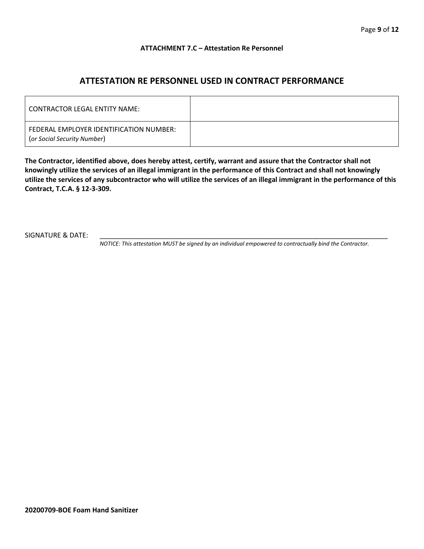#### **ATTACHMENT 7.C – Attestation Re Personnel**

## **ATTESTATION RE PERSONNEL USED IN CONTRACT PERFORMANCE**

| CONTRACTOR LEGAL ENTITY NAME:                                          |  |
|------------------------------------------------------------------------|--|
| FEDERAL EMPLOYER IDENTIFICATION NUMBER:<br>(or Social Security Number) |  |

**The Contractor, identified above, does hereby attest, certify, warrant and assure that the Contractor shall not knowingly utilize the services of an illegal immigrant in the performance of this Contract and shall not knowingly utilize the services of any subcontractor who will utilize the services of an illegal immigrant in the performance of this Contract, T.C.A. § 12-3-309.**

SIGNATURE & DATE:

*NOTICE: This attestation MUST be signed by an individual empowered to contractually bind the Contractor.*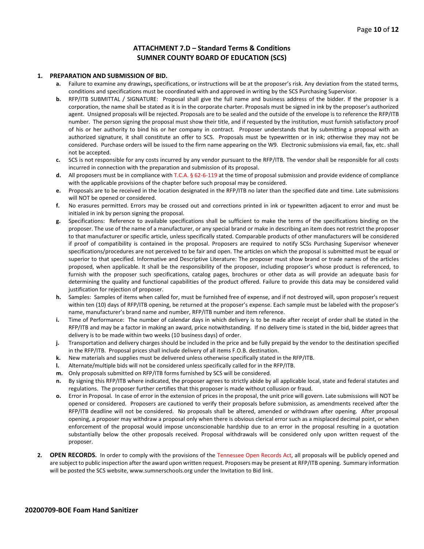#### **ATTACHMENT 7.D – Standard Terms & Conditions SUMNER COUNTY BOARD OF EDUCATION (SCS)**

#### **1. PREPARATION AND SUBMISSION OF BID.**

- **a.** Failure to examine any drawings**,** specifications, or instructions will be at the proposer's risk. Any deviation from the stated terms, conditions and specifications must be coordinated with and approved in writing by the SCS Purchasing Supervisor.
- **b.** RFP/ITB SUBMITTAL / SIGNATURE: Proposal shall give the full name and business address of the bidder. If the proposer is a corporation, the name shall be stated as it is in the corporate charter. Proposals must be signed in ink by the proposer's authorized agent. Unsigned proposals will be rejected. Proposals are to be sealed and the outside of the envelope is to reference the RFP/ITB number. The person signing the proposal must show their title, and if requested by the institution, must furnish satisfactory proof of his or her authority to bind his or her company in contract. Proposer understands that by submitting a proposal with an authorized signature, it shall constitute an offer to SCS. Proposals must be typewritten or in ink; otherwise they may not be considered. Purchase orders will be issued to the firm name appearing on the W9. Electronic submissions via email, fax, etc. shall not be accepted.
- **c.** SCS is not responsible for any costs incurred by any vendor pursuant to the RFP/ITB. The vendor shall be responsible for all costs incurred in connection with the preparation and submission of its proposal.
- **d.** All proposers must be in compliance with T.C.A. § 62-6-119 at the time of proposal submission and provide evidence of compliance with the applicable provisions of the chapter before such proposal may be considered.
- **e.** Proposals are to be received in the location designated in the RFP/ITB no later than the specified date and time. Late submissions will NOT be opened or considered.
- **f.** No erasures permitted. Errors may be crossed out and corrections printed in ink or typewritten adjacent to error and must be initialed in ink by person signing the proposal.
- **g.** Specifications: Reference to available specifications shall be sufficient to make the terms of the specifications binding on the proposer. The use of the name of a manufacturer, or any special brand or make in describing an item does not restrict the proposer to that manufacturer or specific article, unless specifically stated. Comparable products of other manufacturers will be considered if proof of compatibility is contained in the proposal. Proposers are required to notify SCSs Purchasing Supervisor whenever specifications/procedures are not perceived to be fair and open. The articles on which the proposal is submitted must be equal or superior to that specified. Informative and Descriptive Literature: The proposer must show brand or trade names of the articles proposed, when applicable. It shall be the responsibility of the proposer, including proposer's whose product is referenced, to furnish with the proposer such specifications, catalog pages, brochures or other data as will provide an adequate basis for determining the quality and functional capabilities of the product offered. Failure to provide this data may be considered valid justification for rejection of proposer.
- **h.** Samples: Samples of items when called for, must be furnished free of expense, and if not destroyed will, upon proposer's request within ten (10) days of RFP/ITB opening, be returned at the proposer's expense. Each sample must be labeled with the proposer's name, manufacturer's brand name and number, RFP/ITB number and item reference.
- **i.** Time of Performance: The number of calendar days in which delivery is to be made after receipt of order shall be stated in the RFP/ITB and may be a factor in making an award, price notwithstanding. If no delivery time is stated in the bid, bidder agrees that delivery is to be made within two weeks (10 business days) of order.
- **j.** Transportation and delivery charges should be included in the price and be fully prepaid by the vendor to the destination specified in the RFP/ITB. Proposal prices shall include delivery of all items F.O.B. destination.
- **k.** New materials and supplies must be delivered unless otherwise specifically stated in the RFP/ITB.
- **l.** Alternate/multiple bids will not be considered unless specifically called for in the RFP/ITB.
- **m.** Only proposals submitted on RFP/ITB forms furnished by SCS will be considered.
- **n.** By signing this RFP/ITB where indicated, the proposer agrees to strictly abide by all applicable local, state and federal statutes and regulations. The proposer further certifies that this proposer is made without collusion or fraud.
- **o.** Error in Proposal. In case of error in the extension of prices in the proposal, the unit price will govern. Late submissions will NOT be opened or considered. Proposers are cautioned to verify their proposals before submission, as amendments received after the RFP/ITB deadline will not be considered. No proposals shall be altered, amended or withdrawn after opening. After proposal opening, a proposer may withdraw a proposal only when there is obvious clerical error such as a misplaced decimal point, or when enforcement of the proposal would impose unconscionable hardship due to an error in the proposal resulting in a quotation substantially below the other proposals received. Proposal withdrawals will be considered only upon written request of the proposer.
- **2. OPEN RECORDS.** In order to comply with the provisions of the Tennessee Open Records Act, all proposals will be publicly opened and are subject to public inspection after the award upon written request. Proposers may be present at RFP/ITB opening. Summary information will be posted the SCS website, www.sumnerschools.org under the Invitation to Bid link.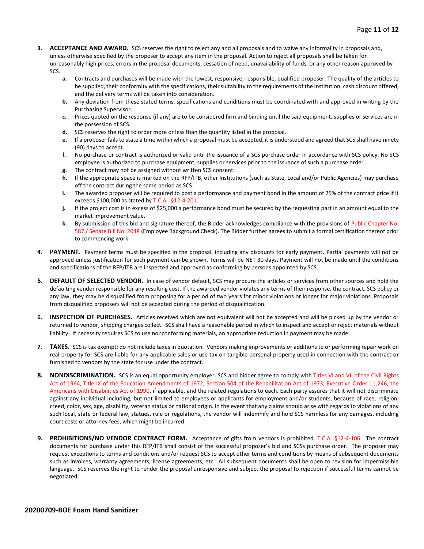- **3. ACCEPTANCE AND AWARD.** SCS reserves the right to reject any and all proposals and to waive any informality in proposals and, unless otherwise specified by the proposer to accept any item in the proposal. Action to reject all proposals shall be taken for unreasonably high prices, errors in the proposal documents, cessation of need, unavailability of funds, or any other reason approved by SCS.
	- **a.** Contracts and purchases will be made with the lowest, responsive, responsible, qualified proposer. The quality of the articles to be supplied, their conformity with the specifications, their suitability to the requirements of the Institution, cash discount offered, and the delivery terms will be taken into consideration.
	- **b.** Any deviation from these stated terms, specifications and conditions must be coordinated with and approved in writing by the Purchasing Supervisor.
	- **c.** Prices quoted on the response (if any) are to be considered firm and binding until the said equipment, supplies or services are in the possession of SCS.
	- **d.** SCS reserves the right to order more or less than the quantity listed in the proposal.
	- **e.** If a proposer fails to state a time within which a proposal must be accepted, it is understood and agreed that SCS shall have ninety (90) days to accept.
	- **f.** No purchase or contract is authorized or valid until the issuance of a SCS purchase order in accordance with SCS policy. No SCS employee is authorized to purchase equipment, supplies or services prior to the issuance of such a purchase order.
	- **g.** The contract may not be assigned without written SCS consent.
	- **h.** If the appropriate space is marked on the RFP/ITB, other Institutions (such as State, Local and/or Public Agencies) may purchase off the contract during the same period as SCS.
	- **i.** The awarded proposer will be required to post a performance and payment bond in the amount of 25% of the contract price if it exceeds \$100,000 as stated by T.C.A. §12-4-201.
	- **j.** If the project cost is in excess of \$25,000 a performance bond must be secured by the requesting part in an amount equal to the market improvement value.
	- **k.** By submission of this bid and signature thereof, the Bidder acknowledges compliance with the provisions of Public Chapter No. 587 / Senate Bill No. 2048 (Employee Background Check). The Bidder further agrees to submit a formal certification thereof prior to commencing work.
- **4. PAYMENT**. Payment terms must be specified in the proposal, including any discounts for early payment. Partial payments will not be approved unless justification for such payment can be shown. Terms will be NET 30 days. Payment will not be made until the conditions and specifications of the RFP/ITB are inspected and approved as conforming by persons appointed by SCS.
- **5. DEFAULT OF SELECTED VENDOR.** In case of vendor default, SCS may procure the articles or services from other sources and hold the defaulting vendor responsible for any resulting cost. If the awarded vendor violates any terms of their response, the contract, SCS policy or any law, they may be disqualified from proposing for a period of two years for minor violations or longer for major violations. Proposals from disqualified proposers will not be accepted during the period of disqualification.
- **6. INSPECTION OF PURCHASES.** Articles received which are not equivalent will not be accepted and will be picked up by the vendor or returned to vendor, shipping charges collect. SCS shall have a reasonable period in which to inspect and accept or reject materials without liability. If necessity requires SCS to use nonconforming materials, an appropriate reduction in payment may be made.
- **7. TAXES.** SCS is tax exempt; do not include taxes in quotation. Vendors making improvements or additions to or performing repair work on real property for SCS are liable for any applicable sales or use tax on tangible personal property used in connection with the contract or furnished to vendors by the state for use under the contract.
- **8. NONDISCRIMINATION.** SCS is an equal opportunity employer. SCS and bidder agree to comply with Titles VI and VII of the Civil Rights Act of 1964, Title IX of the Education Amendments of 1972, Section 504 of the Rehabilitation Act of 1973, Executive Order 11,246, the Americans with Disabilities Act of 1990, if applicable, and the related regulations to each. Each party assures that it will not discriminate against any individual including, but not limited to employees or applicants for employment and/or students, because of race, religion, creed, color, sex, age, disability, veteran status or national origin. In the event that any claims should arise with regards to violations of any such local, state or federal law, statues, rule or regulations, the vendor will indemnify and hold SCS harmless for any damages, including court costs or attorney fees, which might be incurred.
- **9. PROHIBITIONS/NO VENDOR CONTRACT FORM.** Acceptance of gifts from vendors is prohibited. T.C.A. §12-4-106. The contract documents for purchase under this RFP/ITB shall consist of the successful proposer's bid and SCSs purchase order. The proposer may request exceptions to terms and conditions and/or request SCS to accept other terms and conditions by means of subsequent documents such as invoices, warranty agreements, license agreements, etc. All subsequent documents shall be open to revision for impermissible language. SCS reserves the right to render the proposal unresponsive and subject the proposal to rejection if successful terms cannot be negotiated.